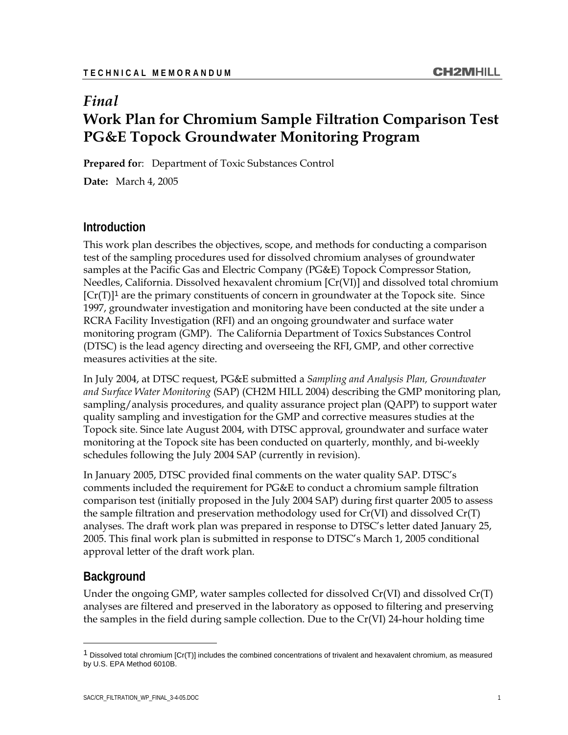# *Final*  **Work Plan for Chromium Sample Filtration Comparison Test PG&E Topock Groundwater Monitoring Program**

**Prepared fo**r: Department of Toxic Substances Control

**Date:** March 4, 2005

#### **Introduction**

This work plan describes the objectives, scope, and methods for conducting a comparison test of the sampling procedures used for dissolved chromium analyses of groundwater samples at the Pacific Gas and Electric Company (PG&E) Topock Compressor Station, Needles, California. Dissolved hexavalent chromium [Cr(VI)] and dissolved total chromium  $[Cr(T)]<sup>1</sup>$  are the primary constituents of concern in groundwater at the Topock site. Since 1997, groundwater investigation and monitoring have been conducted at the site under a RCRA Facility Investigation (RFI) and an ongoing groundwater and surface water monitoring program (GMP). The California Department of Toxics Substances Control (DTSC) is the lead agency directing and overseeing the RFI, GMP, and other corrective measures activities at the site.

In July 2004, at DTSC request, PG&E submitted a *Sampling and Analysis Plan, Groundwater and Surface Water Monitoring* (SAP) (CH2M HILL 2004) describing the GMP monitoring plan, sampling/analysis procedures, and quality assurance project plan (QAPP) to support water quality sampling and investigation for the GMP and corrective measures studies at the Topock site. Since late August 2004, with DTSC approval, groundwater and surface water monitoring at the Topock site has been conducted on quarterly, monthly, and bi-weekly schedules following the July 2004 SAP (currently in revision).

In January 2005, DTSC provided final comments on the water quality SAP. DTSC's comments included the requirement for PG&E to conduct a chromium sample filtration comparison test (initially proposed in the July 2004 SAP) during first quarter 2005 to assess the sample filtration and preservation methodology used for  $Cr(VI)$  and dissolved  $Cr(T)$ analyses. The draft work plan was prepared in response to DTSC's letter dated January 25, 2005. This final work plan is submitted in response to DTSC's March 1, 2005 conditional approval letter of the draft work plan.

#### **Background**

 $\overline{a}$ 

Under the ongoing GMP, water samples collected for dissolved  $Cr(VI)$  and dissolved  $Cr(T)$ analyses are filtered and preserved in the laboratory as opposed to filtering and preserving the samples in the field during sample collection. Due to the Cr(VI) 24-hour holding time

<sup>1</sup> Dissolved total chromium [Cr(T)] includes the combined concentrations of trivalent and hexavalent chromium, as measured by U.S. EPA Method 6010B.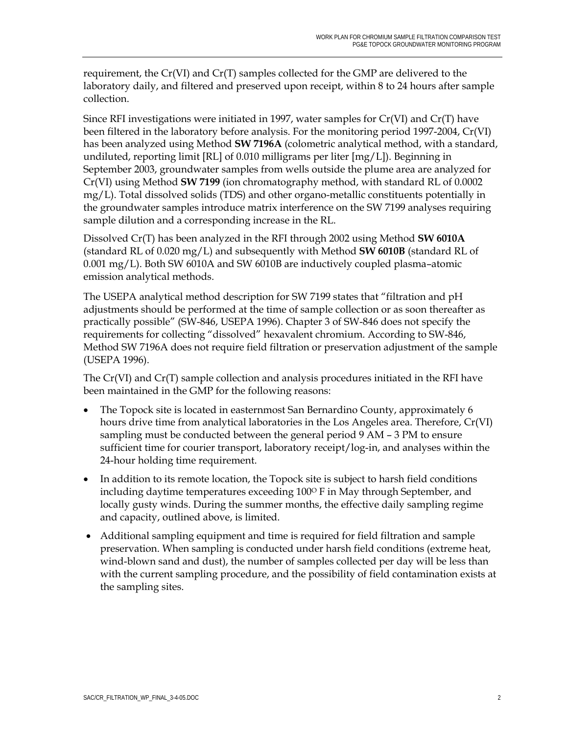requirement, the Cr(VI) and Cr(T) samples collected for the GMP are delivered to the laboratory daily, and filtered and preserved upon receipt, within 8 to 24 hours after sample collection.

Since RFI investigations were initiated in 1997, water samples for  $Cr(VI)$  and  $Cr(T)$  have been filtered in the laboratory before analysis. For the monitoring period 1997-2004, Cr(VI) has been analyzed using Method **SW 7196A** (colometric analytical method, with a standard, undiluted, reporting limit [RL] of 0.010 milligrams per liter [mg/L]). Beginning in September 2003, groundwater samples from wells outside the plume area are analyzed for Cr(VI) using Method **SW 7199** (ion chromatography method, with standard RL of 0.0002 mg/L). Total dissolved solids (TDS) and other organo-metallic constituents potentially in the groundwater samples introduce matrix interference on the SW 7199 analyses requiring sample dilution and a corresponding increase in the RL.

Dissolved Cr(T) has been analyzed in the RFI through 2002 using Method **SW 6010A** (standard RL of 0.020 mg/L) and subsequently with Method **SW 6010B** (standard RL of 0.001 mg/L). Both SW 6010A and SW 6010B are inductively coupled plasma–atomic emission analytical methods.

The USEPA analytical method description for SW 7199 states that "filtration and pH adjustments should be performed at the time of sample collection or as soon thereafter as practically possible" (SW-846, USEPA 1996). Chapter 3 of SW-846 does not specify the requirements for collecting "dissolved" hexavalent chromium. According to SW-846, Method SW 7196A does not require field filtration or preservation adjustment of the sample (USEPA 1996).

The Cr(VI) and Cr(T) sample collection and analysis procedures initiated in the RFI have been maintained in the GMP for the following reasons:

- The Topock site is located in easternmost San Bernardino County, approximately 6 hours drive time from analytical laboratories in the Los Angeles area. Therefore, Cr(VI) sampling must be conducted between the general period 9 AM – 3 PM to ensure sufficient time for courier transport, laboratory receipt/log-in, and analyses within the 24-hour holding time requirement.
- In addition to its remote location, the Topock site is subject to harsh field conditions including daytime temperatures exceeding 100° F in May through September, and locally gusty winds. During the summer months, the effective daily sampling regime and capacity, outlined above, is limited.
- Additional sampling equipment and time is required for field filtration and sample preservation. When sampling is conducted under harsh field conditions (extreme heat, wind-blown sand and dust), the number of samples collected per day will be less than with the current sampling procedure, and the possibility of field contamination exists at the sampling sites.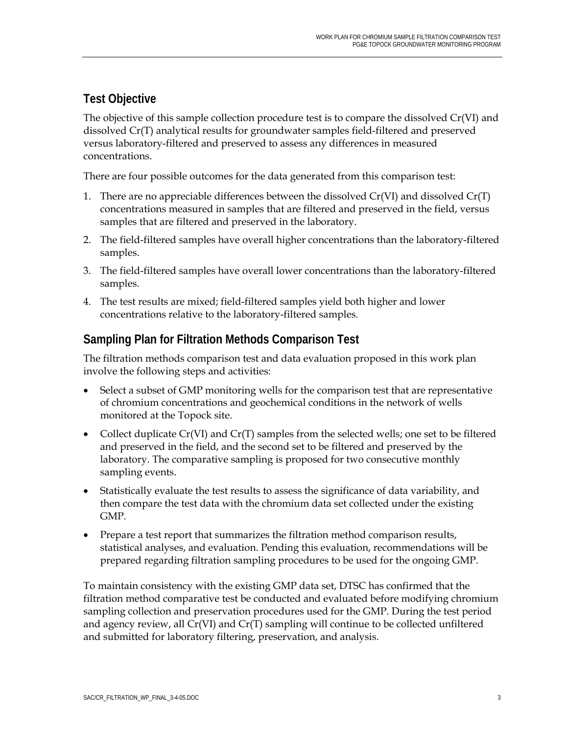## **Test Objective**

The objective of this sample collection procedure test is to compare the dissolved Cr(VI) and dissolved Cr(T) analytical results for groundwater samples field-filtered and preserved versus laboratory-filtered and preserved to assess any differences in measured concentrations.

There are four possible outcomes for the data generated from this comparison test:

- 1. There are no appreciable differences between the dissolved  $Cr(VI)$  and dissolved  $Cr(T)$ concentrations measured in samples that are filtered and preserved in the field, versus samples that are filtered and preserved in the laboratory.
- 2. The field-filtered samples have overall higher concentrations than the laboratory-filtered samples.
- 3. The field-filtered samples have overall lower concentrations than the laboratory-filtered samples.
- 4. The test results are mixed; field-filtered samples yield both higher and lower concentrations relative to the laboratory-filtered samples.

## **Sampling Plan for Filtration Methods Comparison Test**

The filtration methods comparison test and data evaluation proposed in this work plan involve the following steps and activities:

- Select a subset of GMP monitoring wells for the comparison test that are representative of chromium concentrations and geochemical conditions in the network of wells monitored at the Topock site.
- Collect duplicate  $Cr(VI)$  and  $Cr(T)$  samples from the selected wells; one set to be filtered and preserved in the field, and the second set to be filtered and preserved by the laboratory. The comparative sampling is proposed for two consecutive monthly sampling events.
- Statistically evaluate the test results to assess the significance of data variability, and then compare the test data with the chromium data set collected under the existing GMP.
- Prepare a test report that summarizes the filtration method comparison results, statistical analyses, and evaluation. Pending this evaluation, recommendations will be prepared regarding filtration sampling procedures to be used for the ongoing GMP.

To maintain consistency with the existing GMP data set, DTSC has confirmed that the filtration method comparative test be conducted and evaluated before modifying chromium sampling collection and preservation procedures used for the GMP. During the test period and agency review, all  $Cr(VI)$  and  $Cr(T)$  sampling will continue to be collected unfiltered and submitted for laboratory filtering, preservation, and analysis.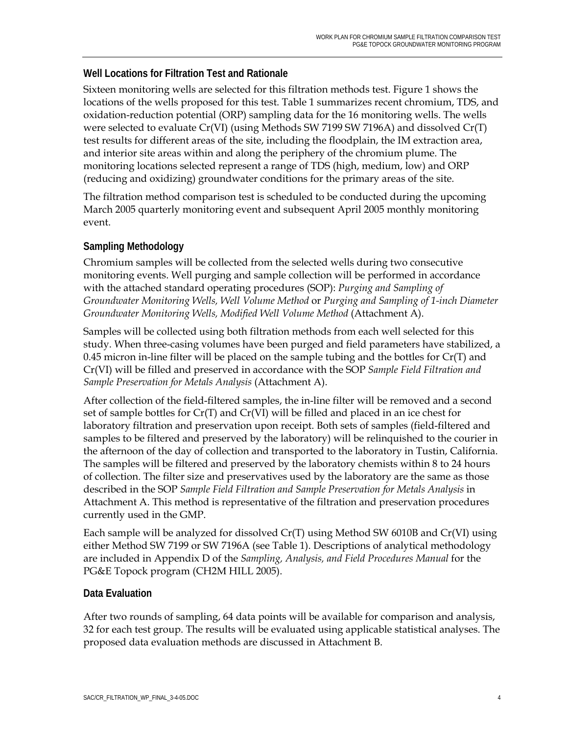#### **Well Locations for Filtration Test and Rationale**

Sixteen monitoring wells are selected for this filtration methods test. Figure 1 shows the locations of the wells proposed for this test. Table 1 summarizes recent chromium, TDS, and oxidation-reduction potential (ORP) sampling data for the 16 monitoring wells. The wells were selected to evaluate Cr(VI) (using Methods SW 7199 SW 7196A) and dissolved Cr(T) test results for different areas of the site, including the floodplain, the IM extraction area, and interior site areas within and along the periphery of the chromium plume. The monitoring locations selected represent a range of TDS (high, medium, low) and ORP (reducing and oxidizing) groundwater conditions for the primary areas of the site.

The filtration method comparison test is scheduled to be conducted during the upcoming March 2005 quarterly monitoring event and subsequent April 2005 monthly monitoring event.

#### **Sampling Methodology**

Chromium samples will be collected from the selected wells during two consecutive monitoring events. Well purging and sample collection will be performed in accordance with the attached standard operating procedures (SOP): *Purging and Sampling of Groundwater Monitoring Wells, Well Volume Method* or *Purging and Sampling of 1-inch Diameter Groundwater Monitoring Wells, Modified Well Volume Method* (Attachment A).

Samples will be collected using both filtration methods from each well selected for this study. When three-casing volumes have been purged and field parameters have stabilized, a 0.45 micron in-line filter will be placed on the sample tubing and the bottles for  $Cr(T)$  and Cr(VI) will be filled and preserved in accordance with the SOP *Sample Field Filtration and Sample Preservation for Metals Analysis* (Attachment A).

After collection of the field-filtered samples, the in-line filter will be removed and a second set of sample bottles for Cr(T) and Cr(VI) will be filled and placed in an ice chest for laboratory filtration and preservation upon receipt. Both sets of samples (field-filtered and samples to be filtered and preserved by the laboratory) will be relinquished to the courier in the afternoon of the day of collection and transported to the laboratory in Tustin, California. The samples will be filtered and preserved by the laboratory chemists within 8 to 24 hours of collection. The filter size and preservatives used by the laboratory are the same as those described in the SOP *Sample Field Filtration and Sample Preservation for Metals Analysis* in Attachment A. This method is representative of the filtration and preservation procedures currently used in the GMP.

Each sample will be analyzed for dissolved Cr(T) using Method SW 6010B and Cr(VI) using either Method SW 7199 or SW 7196A (see Table 1). Descriptions of analytical methodology are included in Appendix D of the *Sampling, Analysis, and Field Procedures Manual* for the PG&E Topock program (CH2M HILL 2005).

#### **Data Evaluation**

After two rounds of sampling, 64 data points will be available for comparison and analysis, 32 for each test group. The results will be evaluated using applicable statistical analyses. The proposed data evaluation methods are discussed in Attachment B.